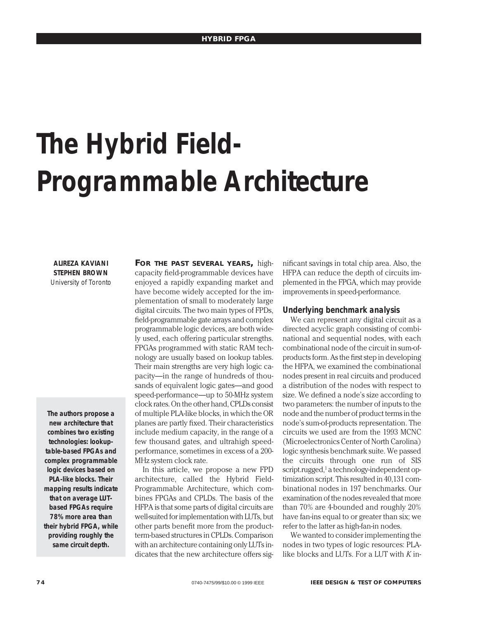# **The Hybrid Field-Programmable Architecture**

**ALIREZA KAVIANI STEPHEN BROWN** University of Toronto

**The authors propose a new architecture that combines two existing technologies: lookuptable-based FPGAs and complex programmable logic devices based on PLA-like blocks. Their mapping results indicate that on average LUTbased FPGAs require 78% more area than their hybrid FPGA, while providing roughly the same circuit depth.**

**FOR THE PAST SEVERAL YEARS,** highcapacity field-programmable devices have enjoyed a rapidly expanding market and have become widely accepted for the implementation of small to moderately large digital circuits. The two main types of FPDs, field-programmable gate arrays and complex programmable logic devices, are both widely used, each offering particular strengths. FPGAs programmed with static RAM technology are usually based on lookup tables. Their main strengths are very high logic capacity—in the range of hundreds of thousands of equivalent logic gates—and good speed-performance—up to 50-MHz system clock rates. On the other hand, CPLDs consist of multiple PLA-like blocks, in which the OR planes are partly fixed. Their characteristics include medium capacity, in the range of a few thousand gates, and ultrahigh speedperformance, sometimes in excess of a 200- MHz system clock rate.

In this article, we propose a new FPD architecture, called the Hybrid Field-Programmable Architecture, which combines FPGAs and CPLDs. The basis of the HFPA is that some parts of digital circuits are well-suited for implementation with LUTs, but other parts benefit more from the productterm-based structures in CPLDs. Comparison with an architecture containing only LUTs indicates that the new architecture offers significant savings in total chip area. Also, the HFPA can reduce the depth of circuits implemented in the FPGA, which may provide improvements in speed-performance.

## **Underlying benchmark analysis**

We can represent any digital circuit as a directed acyclic graph consisting of combinational and sequential nodes, with each combinational node of the circuit in sum-ofproducts form. As the first step in developing the HFPA, we examined the combinational nodes present in real circuits and produced a distribution of the nodes with respect to size. We defined a node's size according to two parameters: the number of inputs to the node and the number of product terms in the node's sum-of-products representation. The circuits we used are from the 1993 MCNC (Microelectronics Center of North Carolina) logic synthesis benchmark suite. We passed the circuits through one run of SIS script.rugged,<sup>1</sup> a technology-independent optimization script. This resulted in 40,131 combinational nodes in 197 benchmarks. Our examination of the nodes revealed that more than 70% are 4-bounded and roughly 20% have fan-ins equal to or greater than six; we refer to the latter as high-fan-in nodes.

We wanted to consider implementing the nodes in two types of logic resources: PLAlike blocks and LUTs. For a LUT with *K* in-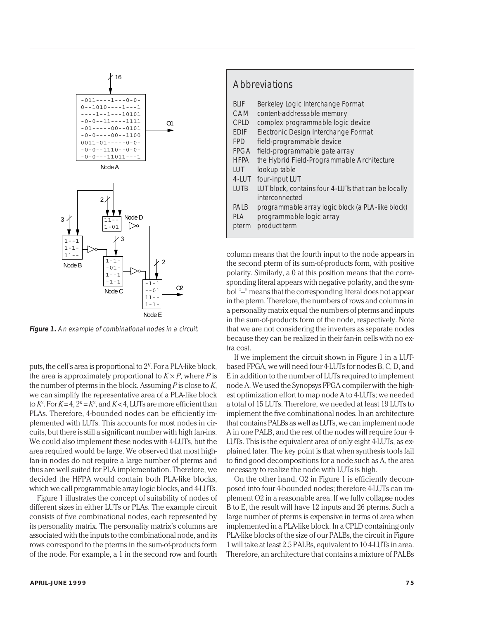

**Figure 1.** An example of combinational nodes in a circuit.

puts, the cell's area is proportional to 2*<sup>K</sup>*. For a PLA-like block, the area is approximately proportional to  $K \times P$ , where *P* is the number of pterms in the block. Assuming *P* is close to *K*, we can simplify the representative area of a PLA-like block to  $K^2$ . For  $K = 4$ ,  $2^K = K^2$ , and  $K < 4$ , LUTs are more efficient than PLAs. Therefore, 4-bounded nodes can be efficiently implemented with LUTs. This accounts for most nodes in circuits, but there is still a significant number with high fan-ins. We could also implement these nodes with 4-LUTs, but the area required would be large. We observed that most highfan-in nodes do not require a large number of pterms and thus are well suited for PLA implementation. Therefore, we decided the HFPA would contain both PLA-like blocks, which we call programmable array logic blocks, and 4-LUTs.

Figure 1 illustrates the concept of suitability of nodes of different sizes in either LUTs or PLAs. The example circuit consists of five combinational nodes, each represented by its personality matrix. The personality matrix's columns are associated with the inputs to the combinational node, and its rows correspond to the pterms in the sum-of-products form of the node. For example, a 1 in the second row and fourth

# **Abbreviations**

- BLIF Berkeley Logic Interchange Format
- CAM content-addressable memory
- CPLD complex programmable logic device
- EDIF Electronic Design Interchange Format
- FPD field-programmable device
- FPGA field-programmable gate array
- HFPA the Hybrid Field-Programmable Architecture
- LUT lookup table
- 4-LUT four-input LUT
- LUTB LUT block, contains four 4-LUTs that can be locally interconnected
- PALB programmable array logic block (a PLA-like block)
- PLA programmable logic array
- pterm product term

column means that the fourth input to the node appears in the second pterm of its sum-of-products form, with positive polarity. Similarly, a 0 at this position means that the corresponding literal appears with negative polarity, and the symbol "–" means that the corresponding literal does not appear in the pterm. Therefore, the numbers of rows and columns in a personality matrix equal the numbers of pterms and inputs in the sum-of-products form of the node, respectively. Note that we are not considering the inverters as separate nodes because they can be realized in their fan-in cells with no extra cost.

If we implement the circuit shown in Figure 1 in a LUTbased FPGA, we will need four 4-LUTs for nodes B, C, D, and E in addition to the number of LUTs required to implement node A. We used the Synopsys FPGA compiler with the highest optimization effort to map node A to 4-LUTs; we needed a total of 15 LUTs. Therefore, we needed at least 19 LUTs to implement the five combinational nodes. In an architecture that contains PALBs as well as LUTs, we can implement node A in one PALB, and the rest of the nodes will require four 4- LUTs. This is the equivalent area of only eight 4-LUTs, as explained later. The key point is that when synthesis tools fail to find good decompositions for a node such as A, the area necessary to realize the node with LUTs is high.

On the other hand, O2 in Figure 1 is efficiently decomposed into four 4-bounded nodes; therefore 4-LUTs can implement O2 in a reasonable area. If we fully collapse nodes B to E, the result will have 12 inputs and 26 pterms. Such a large number of pterms is expensive in terms of area when implemented in a PLA-like block. In a CPLD containing only PLA-like blocks of the size of our PALBs, the circuit in Figure 1 will take at least 2.5 PALBs, equivalent to 10 4-LUTs in area. Therefore, an architecture that contains a mixture of PALBs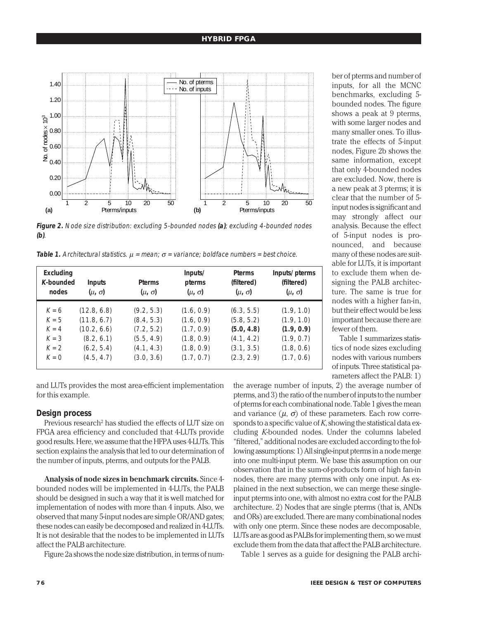# **HYBRID FPGA**



**Figure 2.** Node size distribution: excluding 5-bounded nodes **(a)**; excluding 4-bounded nodes **(b)**.

**Table 1.** Architectural statistics.  $μ = mean$ ;  $σ = variance$ ; boldface numbers = best choice.

| Excluding<br>K-bounded<br>nodes | <b>Inputs</b><br>$(\mu, \sigma)$ | <b>Pterms</b><br>$(\mu, \sigma)$ | Inputs/<br>pterms<br>$(\mu, \sigma)$ | <b>Pterms</b><br>(filtered)<br>$(\mu, \sigma)$ | Inputs/pterms<br>(filtered)<br>$(\mu, \sigma)$ |
|---------------------------------|----------------------------------|----------------------------------|--------------------------------------|------------------------------------------------|------------------------------------------------|
| $K = 6$                         | (12.8, 6.8)                      | (9.2, 5.3)                       | (1.6, 0.9)                           | (6.3, 5.5)                                     | (1.9, 1.0)                                     |
| $K = 5$                         | (11.8, 6.7)                      | (8.4, 5.3)                       | (1.6, 0.9)                           | (5.8, 5.2)                                     | (1.9, 1.0)                                     |
| $K = 4$                         | (10.2, 6.6)                      | (7.2, 5.2)                       | (1.7, 0.9)                           | (5.0, 4.8)                                     | (1.9, 0.9)                                     |
| $K = 3$                         | (8.2, 6.1)                       | (5.5, 4.9)                       | (1.8, 0.9)                           | (4.1, 4.2)                                     | (1.9, 0.7)                                     |
| $K = 2$                         | (6.2, 5.4)                       | (4.1, 4.3)                       | (1.8, 0.9)                           | (3.1, 3.5)                                     | (1.8, 0.6)                                     |
| $K = 0$                         | (4.5, 4.7)                       | (3.0, 3.6)                       | (1.7, 0.7)                           | (2.3, 2.9)                                     | (1.7, 0.6)                                     |

and LUTs provides the most area-efficient implementation for this example.

# **Design process**

Previous research<sup>2</sup> has studied the effects of LUT size on FPGA area efficiency and concluded that 4-LUTs provide good results. Here, we assume that the HFPA uses 4-LUTs. This section explains the analysis that led to our determination of the number of inputs, pterms, and outputs for the PALB.

**Analysis of node sizes in benchmark circuits.** Since 4 bounded nodes will be implemented in 4-LUTs, the PALB should be designed in such a way that it is well matched for implementation of nodes with more than 4 inputs. Also, we observed that many 5-input nodes are simple OR/AND gates; these nodes can easily be decomposed and realized in 4-LUTs. It is not desirable that the nodes to be implemented in LUTs affect the PALB architecture.

Figure 2a shows the node size distribution, in terms of num-

ber of pterms and number of inputs, for all the MCNC benchmarks, excluding 5 bounded nodes. The figure shows a peak at 9 pterms, with some larger nodes and many smaller ones. To illustrate the effects of 5-input nodes, Figure 2b shows the same information, except that only 4-bounded nodes are excluded. Now, there is a new peak at 3 pterms; it is clear that the number of 5 input nodes is significant and may strongly affect our analysis. Because the effect of 5-input nodes is pronounced, and because many of these nodes are suitable for LUTs, it is important to exclude them when designing the PALB architecture. The same is true for nodes with a higher fan-in, but their effect would be less important because there are fewer of them.

Table 1 summarizes statistics of node sizes excluding nodes with various numbers of inputs. Three statistical parameters affect the PALB: 1)

the average number of inputs, 2) the average number of pterms, and 3) the ratio of the number of inputs to the number of pterms for each combinational node. Table 1 gives the mean and variance  $(\mu, \sigma)$  of these parameters. Each row corresponds to a specific value of *K*, showing the statistical data excluding *K*-bounded nodes. Under the columns labeled "filtered," additional nodes are excluded according to the following assumptions: 1) All single-input pterms in a node merge into one multi-input pterm. We base this assumption on our observation that in the sum-of-products form of high fan-in nodes, there are many pterms with only one input. As explained in the next subsection, we can merge these singleinput pterms into one, with almost no extra cost for the PALB architecture. 2) Nodes that are single pterms (that is, ANDs and ORs) are excluded. There are many combinational nodes with only one pterm. Since these nodes are decomposable, LUTs are as good as PALBs for implementing them, so we must exclude them from the data that affect the PALB architecture.

Table 1 serves as a guide for designing the PALB archi-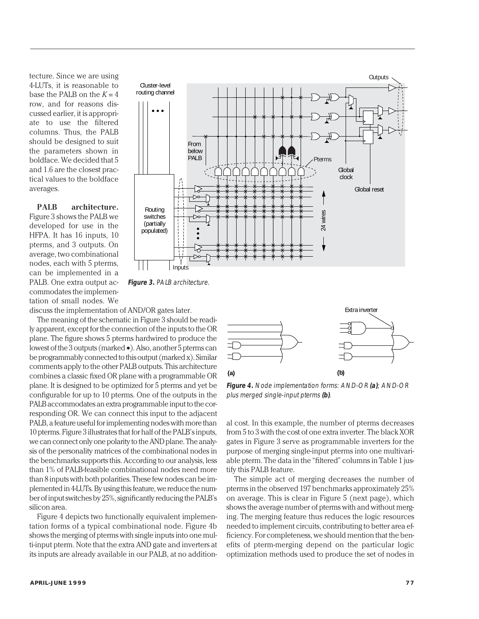tecture. Since we are using 4-LUTs, it is reasonable to base the PALB on the  $K = 4$ row, and for reasons discussed earlier, it is appropriate to use the filtered columns. Thus, the PALB should be designed to suit the parameters shown in boldface. We decided that 5 and 1.6 are the closest practical values to the boldface averages.

**PALB architecture.** Figure 3 shows the PALB we developed for use in the HFPA. It has 16 inputs, 10 pterms, and 3 outputs. On average, two combinational nodes, each with 5 pterms, can be implemented in a PALB. One extra output accommodates the implementation of small nodes. We



**Figure 3.** PALB architecture.

discuss the implementation of AND/OR gates later.

The meaning of the schematic in Figure 3 should be readily apparent, except for the connection of the inputs to the OR plane. The figure shows 5 pterms hardwired to produce the lowest of the 3 outputs (marked •). Also, another 5 pterms can be programmably connected to this output (marked x). Similar comments apply to the other PALB outputs. This architecture combines a classic fixed OR plane with a programmable OR plane. It is designed to be optimized for 5 pterms and yet be configurable for up to 10 pterms. One of the outputs in the PALB accommodates an extra programmable input to the corresponding OR. We can connect this input to the adjacent PALB, a feature useful for implementing nodes with more than 10 pterms. Figure 3 illustrates that for half of the PALB's inputs, we can connect only one polarity to the AND plane. The analysis of the personality matrices of the combinational nodes in the benchmarks supports this. According to our analysis, less than 1% of PALB-feasible combinational nodes need more than 8 inputs with both polarities. These few nodes can be implemented in 4-LUTs. By using this feature, we reduce the number of input switches by 25%, significantly reducing the PALB's silicon area.

Figure 4 depicts two functionally equivalent implementation forms of a typical combinational node. Figure 4b shows the merging of pterms with single inputs into one multi-input pterm. Note that the extra AND gate and inverters at its inputs are already available in our PALB, at no addition-



**Figure 4.** Node implementation forms: AND-OR **(a)**; AND-OR plus merged single-input pterms **(b)**.

al cost. In this example, the number of pterms decreases from 5 to 3 with the cost of one extra inverter. The black XOR gates in Figure 3 serve as programmable inverters for the purpose of merging single-input pterms into one multivariable pterm. The data in the "filtered" columns in Table 1 justify this PALB feature.

The simple act of merging decreases the number of pterms in the observed 197 benchmarks approximately 25% on average. This is clear in Figure 5 (next page), which shows the average number of pterms with and without merging. The merging feature thus reduces the logic resources needed to implement circuits, contributing to better area efficiency. For completeness, we should mention that the benefits of pterm-merging depend on the particular logic **Extra inverter**<br> **Extra inverter**<br> **Extra inverter**<br> **Extra inverter**<br> **Extra inverter**<br> **Extra inverter**<br> **Extra inverter**<br> **Extra inverter**<br> **Extra inverter**<br> **Extra inverter**<br> **Extra inverter**<br> **Extra inverter**<br> **Extra**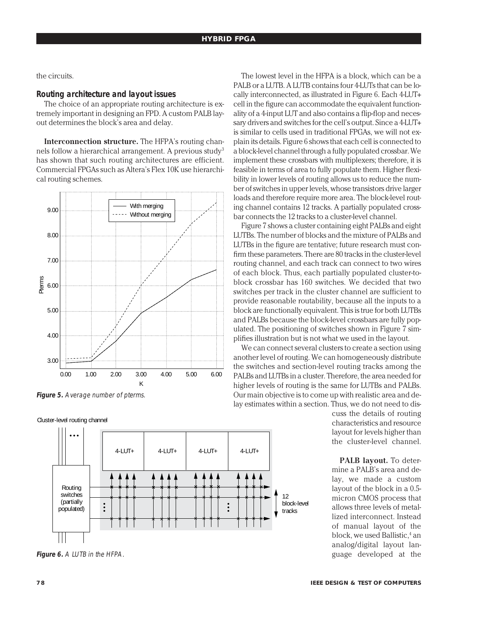the circuits.

# **Routing architecture and layout issues**

The choice of an appropriate routing architecture is extremely important in designing an FPD. A custom PALB layout determines the block's area and delay.

**Interconnection structure.** The HFPA's routing channels follow a hierarchical arrangement. A previous study<sup>3</sup> has shown that such routing architectures are efficient. Commercial FPGAs such as Altera's Flex 10K use hierarchical routing schemes.





Cluster-level routing channel



**Figure 6.** A LUTB in the HFPA.

The lowest level in the HFPA is a block, which can be a PALB or a LUTB. A LUTB contains four 4-LUTs that can be locally interconnected, as illustrated in Figure 6. Each 4-LUT+ cell in the figure can accommodate the equivalent functionality of a 4-input LUT and also contains a flip-flop and necessary drivers and switches for the cell's output. Since a 4-LUT+ is similar to cells used in traditional FPGAs, we will not explain its details. Figure 6 shows that each cell is connected to a block-level channel through a fully populated crossbar. We implement these crossbars with multiplexers; therefore, it is feasible in terms of area to fully populate them. Higher flexibility in lower levels of routing allows us to reduce the number of switches in upper levels, whose transistors drive larger loads and therefore require more area. The block-level routing channel contains 12 tracks. A partially populated crossbar connects the 12 tracks to a cluster-level channel.

Figure 7 shows a cluster containing eight PALBs and eight LUTBs. The number of blocks and the mixture of PALBs and LUTBs in the figure are tentative; future research must confirm these parameters. There are 80 tracks in the cluster-level routing channel, and each track can connect to two wires of each block. Thus, each partially populated cluster-toblock crossbar has 160 switches. We decided that two switches per track in the cluster channel are sufficient to provide reasonable routability, because all the inputs to a block are functionally equivalent. This is true for both LUTBs and PALBs because the block-level crossbars are fully populated. The positioning of switches shown in Figure 7 simplifies illustration but is not what we used in the layout.

We can connect several clusters to create a section using another level of routing. We can homogeneously distribute the switches and section-level routing tracks among the PALBs and LUTBs in a cluster. Therefore, the area needed for higher levels of routing is the same for LUTBs and PALBs. Our main objective is to come up with realistic area and delay estimates within a section. Thus, we do not need to dis-

cuss the details of routing characteristics and resource layout for levels higher than the cluster-level channel.

**PALB layout.** To determine a PALB's area and delay, we made a custom layout of the block in a 0.5 micron CMOS process that allows three levels of metallized interconnect. Instead of manual layout of the block, we used Ballistic,<sup>4</sup> an analog/digital layout language developed at the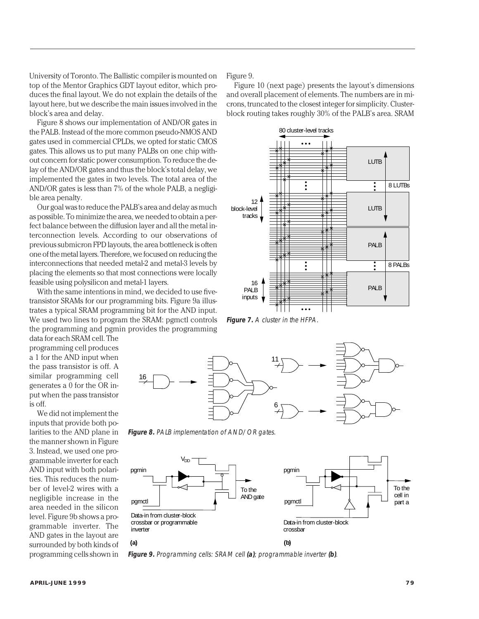University of Toronto. The Ballistic compiler is mounted on top of the Mentor Graphics GDT layout editor, which produces the final layout. We do not explain the details of the layout here, but we describe the main issues involved in the block's area and delay.

Figure 8 shows our implementation of AND/OR gates in the PALB. Instead of the more common pseudo-NMOS AND gates used in commercial CPLDs, we opted for static CMOS gates. This allows us to put many PALBs on one chip without concern for static power consumption. To reduce the delay of the AND/OR gates and thus the block's total delay, we implemented the gates in two levels. The total area of the AND/OR gates is less than 7% of the whole PALB, a negligible area penalty.

Our goal was to reduce the PALB's area and delay as much as possible. To minimize the area, we needed to obtain a perfect balance between the diffusion layer and all the metal interconnection levels. According to our observations of previous submicron FPD layouts, the area bottleneck is often one of the metal layers. Therefore, we focused on reducing the interconnections that needed metal-2 and metal-3 levels by placing the elements so that most connections were locally feasible using polysilicon and metal-1 layers.

With the same intentions in mind, we decided to use fivetransistor SRAMs for our programming bits. Figure 9a illustrates a typical SRAM programming bit for the AND input. We used two lines to program the SRAM: pgmctl controls the programming and pgmin provides the programming

data for each SRAM cell. The programming cell produces a 1 for the AND input when the pass transistor is off. A similar programming cell generates a 0 for the OR input when the pass transistor is off.

We did not implement the inputs that provide both polarities to the AND plane in the manner shown in Figure 3. Instead, we used one programmable inverter for each AND input with both polarities. This reduces the number of level-2 wires with a negligible increase in the area needed in the silicon level. Figure 9b shows a programmable inverter. The AND gates in the layout are surrounded by both kinds of programming cells shown in Figure 9.

Figure 10 (next page) presents the layout's dimensions and overall placement of elements. The numbers are in microns, truncated to the closest integer for simplicity. Clusterblock routing takes roughly 30% of the PALB's area. SRAM



**Figure 7.** A cluster in the HFPA.



**Figure 8.** PALB implementation of AND/OR gates.



**Figure 9.** Programming cells: SRAM cell **(a)**; programmable inverter **(b)**.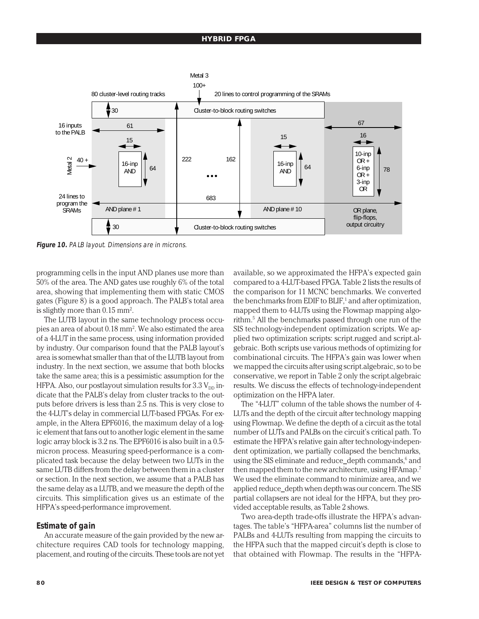#### **HYBRID FPGA**



**Figure 10.** PALB layout. Dimensions are in microns.

programming cells in the input AND planes use more than 50% of the area. The AND gates use roughly 6% of the total area, showing that implementing them with static CMOS gates (Figure 8) is a good approach. The PALB's total area is slightly more than  $0.15 \text{ mm}^2$ .

The LUTB layout in the same technology process occupies an area of about 0.18 mm². We also estimated the area of a 4-LUT in the same process, using information provided by industry. Our comparison found that the PALB layout's area is somewhat smaller than that of the LUTB layout from industry. In the next section, we assume that both blocks take the same area; this is a pessimistic assumption for the HFPA. Also, our postlayout simulation results for  $3.3 V_{\text{DD}}$  indicate that the PALB's delay from cluster tracks to the outputs before drivers is less than 2.5 ns. This is very close to the 4-LUT's delay in commercial LUT-based FPGAs. For example, in the Altera EPF6016, the maximum delay of a logic element that fans out to another logic element in the same logic array block is 3.2 ns. The EPF6016 is also built in a 0.5 micron process. Measuring speed-performance is a complicated task because the delay between two LUTs in the same LUTB differs from the delay between them in a cluster or section. In the next section, we assume that a PALB has the same delay as a LUTB, and we measure the depth of the circuits. This simplification gives us an estimate of the HFPA's speed-performance improvement.

## **Estimate of gain**

An accurate measure of the gain provided by the new architecture requires CAD tools for technology mapping, placement, and routing of the circuits. These tools are not yet available, so we approximated the HFPA's expected gain compared to a 4-LUT-based FPGA. Table 2 lists the results of the comparison for 11 MCNC benchmarks. We converted the benchmarks from EDIF to BLIF, $<sup>1</sup>$  and after optimization,</sup> mapped them to 4-LUTs using the Flowmap mapping algorithm.5 All the benchmarks passed through one run of the SIS technology-independent optimization scripts. We applied two optimization scripts: script.rugged and script.algebraic. Both scripts use various methods of optimizing for combinational circuits. The HFPA's gain was lower when we mapped the circuits after using script.algebraic, so to be conservative, we report in Table 2 only the script.algebraic results. We discuss the effects of technology-independent optimization on the HFPA later.

The "4-LUT" column of the table shows the number of 4- LUTs and the depth of the circuit after technology mapping using Flowmap. We define the depth of a circuit as the total number of LUTs and PALBs on the circuit's critical path. To estimate the HFPA's relative gain after technology-independent optimization, we partially collapsed the benchmarks, using the SIS eliminate and reduce\_depth commands,<sup>6</sup> and then mapped them to the new architecture, using HFAmap.7 We used the eliminate command to minimize area, and we applied reduce\_depth when depth was our concern. The SIS partial collapsers are not ideal for the HFPA, but they provided acceptable results, as Table 2 shows.

Two area-depth trade-offs illustrate the HFPA's advantages. The table's "HFPA-area" columns list the number of PALBs and 4-LUTs resulting from mapping the circuits to the HFPA such that the mapped circuit's depth is close to that obtained with Flowmap. The results in the "HFPA-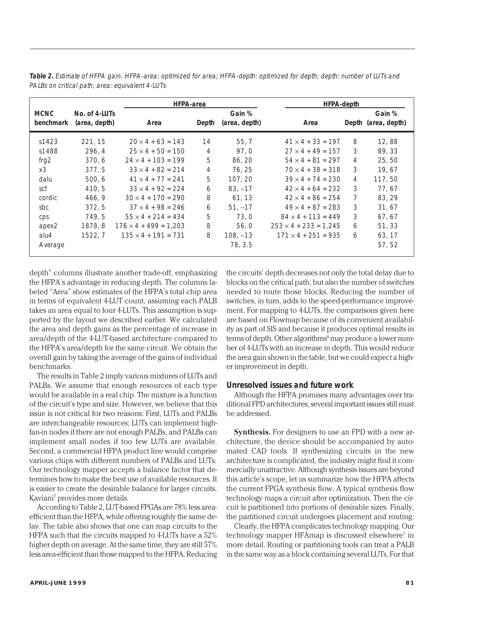|                          |                                |                              | <b>HFPA-area</b> |                         |                              | <b>HFPA-depth</b> |                               |  |  |
|--------------------------|--------------------------------|------------------------------|------------------|-------------------------|------------------------------|-------------------|-------------------------------|--|--|
| <b>MCNC</b><br>benchmark | No. of 4-LUTs<br>(area, depth) | Area                         | Depth            | Gain %<br>(area, depth) | Area                         |                   | Gain %<br>Depth (area, depth) |  |  |
|                          |                                |                              |                  |                         |                              |                   |                               |  |  |
| s1423                    | 221, 15                        | $20 \times 4 + 63 = 143$     | 14               | 55, 7                   | $41 \times 4 + 33 = 197$     | 8                 | 12,88                         |  |  |
| s1488                    | 296, 4                         | $25 \times 4 + 50 = 150$     | 4                | 97,0                    | $27 \times 4 + 49 = 157$     | 3                 | 89, 33                        |  |  |
| frq $2$                  | 370, 6                         | $24 \times 4 + 103 = 199$    | 5                | 86, 20                  | $54 \times 4 + 81 = 297$     | 4                 | 25,50                         |  |  |
| x3                       | 377,5                          | $33 \times 4 + 82 = 214$     | 4                | 76, 25                  | $70 \times 4 + 38 = 318$     | 3                 | 19,67                         |  |  |
| dalu                     | 500, 6                         | $41 \times 4 + 77 = 241$     | 5                | 107, 20                 | $39 \times 4 + 74 = 230$     | 4                 | 117,50                        |  |  |
| scf                      | 410.5                          | $33 \times 4 + 92 = 224$     | 6                | $83, -17$               | $42 \times 4 + 64 = 232$     | 3                 | 77.67                         |  |  |
| cordic                   | 466, 9                         | $30 \times 4 + 170 = 290$    | 8                | 61, 13                  | $42 \times 4 + 86 = 254$     | 7                 | 83, 29                        |  |  |
| sbc                      | 372, 5                         | $37 \times 4 + 98 = 246$     | 6                | $51, -17$               | $49 \times 4 + 87 = 283$     | 3                 | 31,67                         |  |  |
| cps                      | 749.5                          | $55 \times 4 + 214 = 434$    | 5                | 73,0                    | $84 \times 4 + 113 = 449$    | 3                 | 67, 67                        |  |  |
| apex <sub>2</sub>        | 1878, 8                        | $176 \times 4 + 499 = 1,203$ | 8                | 56, 0                   | $253 \times 4 + 233 = 1.245$ | 6                 | 51, 33                        |  |  |
| alu4                     | 1522, 7                        | $135 \times 4 + 191 = 731$   | 8                | $108, -13$              | $171 \times 4 + 251 = 935$   | 6                 | 63, 17                        |  |  |
| Average                  |                                |                              |                  | 78, 3.5                 |                              |                   | 57, 52                        |  |  |

**Table 2.** Estimate of HFPA gain. HFPA-area: optimized for area; HFPA-depth: optimized for depth; depth: number of LUTs and PALBs on critical path; area: equivalent 4-LUTs

depth" columns illustrate another trade-off, emphasizing the HFPA's advantage in reducing depth. The columns labeled "Area" show estimates of the HFPA's total chip area in terms of equivalent 4-LUT count, assuming each PALB takes an area equal to four 4-LUTs. This assumption is supported by the layout we described earlier. We calculated the area and depth gains as the percentage of increase in area/depth of the 4-LUT-based architecture compared to the HFPA's area/depth for the same circuit. We obtain the overall gain by taking the average of the gains of individual benchmarks.

The results in Table 2 imply various mixtures of LUTs and PALBs. We assume that enough resources of each type would be available in a real chip. The mixture is a function of the circuit's type and size. However, we believe that this issue is not critical for two reasons: First, LUTs and PALBs are interchangeable resources; LUTs can implement highfan-in nodes if there are not enough PALBs, and PALBs can implement small nodes if too few LUTs are available. Second, a commercial HFPA product line would comprise various chips with different numbers of PALBs and LUTs. Our technology mapper accepts a balance factor that determines how to make the best use of available resources. It is easier to create the desirable balance for larger circuits. Kaviani7 provides more details.

According to Table 2, LUT-based FPGAs are 78% less areaefficient than the HFPA, while offering roughly the same delay. The table also shows that one can map circuits to the HFPA such that the circuits mapped to 4-LUTs have a 52% higher depth on average. At the same time, they are still 57% less area-efficient than those mapped to the HFPA. Reducing

the circuits' depth decreases not only the total delay due to blocks on the critical path, but also the number of switches needed to route those blocks. Reducing the number of switches, in turn, adds to the speed-performance improvement. For mapping to 4-LUTs, the comparisons given here are based on Flowmap because of its convenient availability as part of SIS and because it produces optimal results in terms of depth. Other algorithms<sup>8</sup> may produce a lower number of 4-LUTs with an increase in depth. This would reduce the area gain shown in the table, but we could expect a higher improvement in depth.

# **Unresolved issues and future work**

Although the HFPA promises many advantages over traditional FPD architectures, several important issues still must be addressed.

**Synthesis.** For designers to use an FPD with a new architecture, the device should be accompanied by automated CAD tools. If synthesizing circuits in the new architecture is complicated, the industry might find it commercially unattractive. Although synthesis issues are beyond this article's scope, let us summarize how the HFPA affects the current FPGA synthesis flow. A typical synthesis flow technology maps a circuit after optimization. Then the circuit is partitioned into portions of desirable sizes. Finally, the partitioned circuit undergoes placement and routing.

Clearly, the HFPA complicates technology mapping. Our technology mapper HFAmap is discussed elsewhere<sup>7</sup> in more detail. Routing or partitioning tools can treat a PALB in the same way as a block containing several LUTs. For that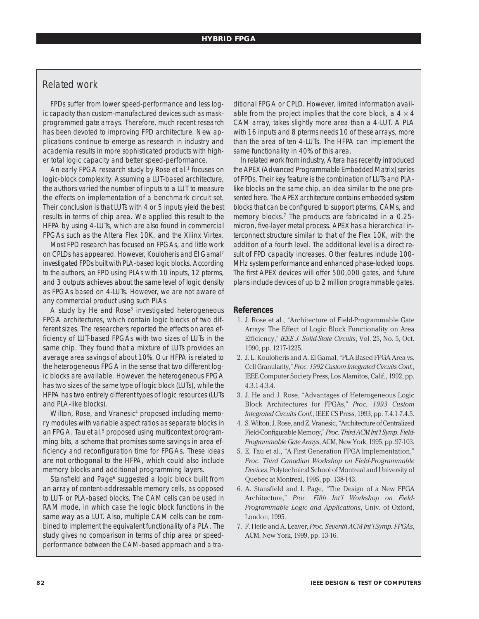# Related work

FPDs suffer from lower speed-performance and less logic capacity than custom-manufactured devices such as maskprogrammed gate arrays. Therefore, much recent research has been devoted to improving FPD architecture. New applications continue to emerge as research in industry and academia results in more sophisticated products with higher total logic capacity and better speed-performance.

An early FPGA research study by Rose et al.<sup>1</sup> focuses on logic-block complexity. Assuming a LUT-based architecture, the authors varied the number of inputs to a LUT to measure the effects on implementation of a benchmark circuit set. Their conclusion is that LUTs with 4 or 5 inputs yield the best results in terms of chip area. We applied this result to the HFPA by using 4-LUTs, which are also found in commercial FPGAs such as the Altera Flex 10K, and the Xilinx Virtex.

Most FPD research has focused on FPGAs, and little work on CPLDs has appeared. However, Kouloheris and El Gamal2 investigated FPDs built with PLA-based logic blocks. According to the authors, an FPD using PLAs with 10 inputs, 12 pterms, and 3 outputs achieves about the same level of logic density as FPGAs based on 4-LUTs. However, we are not aware of any commercial product using such PLAs.

A study by He and Rose<sup>3</sup> investigated heterogeneous FPGA architectures, which contain logic blocks of two different sizes. The researchers reported the effects on area efficiency of LUT-based FPGAs with two sizes of LUTs in the same chip. They found that a mixture of LUTs provides an average area savings of about 10%. Our HFPA is related to the heterogeneous FPGA in the sense that two different logic blocks are available. However, the heterogeneous FPGA has two sizes of the same type of logic block (LUTs), while the HFPA has two entirely different types of logic resources (LUTs and PLA-like blocks).

Wilton, Rose, and Vranesic<sup>4</sup> proposed including memory modules with variable aspect ratios as separate blocks in an FPGA. Tau et al.<sup>5</sup> proposed using multicontext programming bits, a scheme that promises some savings in area efficiency and reconfiguration time for FPGAs. These ideas are not orthogonal to the HFPA, which could also include memory blocks and additional programming layers.

Stansfield and Page<sup>6</sup> suggested a logic block built from an array of content-addressable memory cells, as opposed to LUT- or PLA-based blocks. The CAM cells can be used in RAM mode, in which case the logic block functions in the same way as a LUT. Also, multiple CAM cells can be combined to implement the equivalent functionality of a PLA. The study gives no comparison in terms of chip area or speedperformance between the CAM-based approach and a traditional FPGA or CPLD. However, limited information available from the project implies that the core block, a  $4 \times 4$ CAM array, takes slightly more area than a 4-LUT. A PLA with 16 inputs and 8 pterms needs 10 of these arrays, more than the area of ten 4-LUTs. The HFPA can implement the same functionality in 40% of this area.

In related work from industry, Altera has recently introduced the APEX (Advanced Programmable Embedded Matrix) series of FPDs. Their key feature is the combination of LUTs and PLAlike blocks on the same chip, an idea similar to the one presented here. The APEX architecture contains embedded system blocks that can be configured to support pterms, CAMs, and memory blocks.<sup>7</sup> The products are fabricated in a 0.25micron, five-layer metal process. APEX has a hierarchical interconnect structure similar to that of the Flex 10K, with the addition of a fourth level. The additional level is a direct result of FPD capacity increases. Other features include 100- MHz system performance and enhanced phase-locked loops. The first APEX devices will offer 500,000 gates, and future plans include devices of up to 2 million programmable gates.

# **References**

- 1. J. Rose et al., "Architecture of Field-Programmable Gate Arrays: The Effect of Logic Block Functionality on Area Efficiency," *IEEE J. Solid-State Circuits*, Vol. 25, No. 5, Oct. 1990, pp. 1217-1225.
- 2. J. L. Kouloheris and A. El Gamal, "PLA-Based FPGA Area vs. Cell Granularity," *Proc. 1992 Custom Integrated Circuits Conf.*, IEEE Computer Society Press, Los Alamitos, Calif., 1992, pp. 4.3.1-4.3.4.
- 3. J. He and J. Rose, "Advantages of Heterogeneous Logic Block Architectures for FPGAs," *Proc. 1993 Custom Integrated Circuits Conf.*, IEEE CS Press, 1993, pp. 7.4.1-7.4.5.
- 4. S. Wilton, J. Rose, and Z. Vranesic, "Architecture of Centralized Field-Configurable Memory," *Proc. Third ACM Int'l Symp. Field-Programmable Gate Arrays*, ACM, New York, 1995, pp. 97-103.
- 5. E. Tau et al., "A First Generation FPGA Implementation," *Proc. Third Canadian Workshop on Field-Programmable Devices*, Polytechnical School of Montreal and University of Quebec at Montreal, 1995, pp. 138-143.
- 6. A. Stansfield and I. Page, "The Design of a New FPGA Architecture," *Proc. Fifth Int'l Workshop on Field-Programmable Logic and Applications*, Univ. of Oxford, London, 1995.
- 7. F. Heile and A. Leaver, *Proc. Seventh ACM Int'l Symp. FPGAs*, ACM, New York, 1999, pp. 13-16.